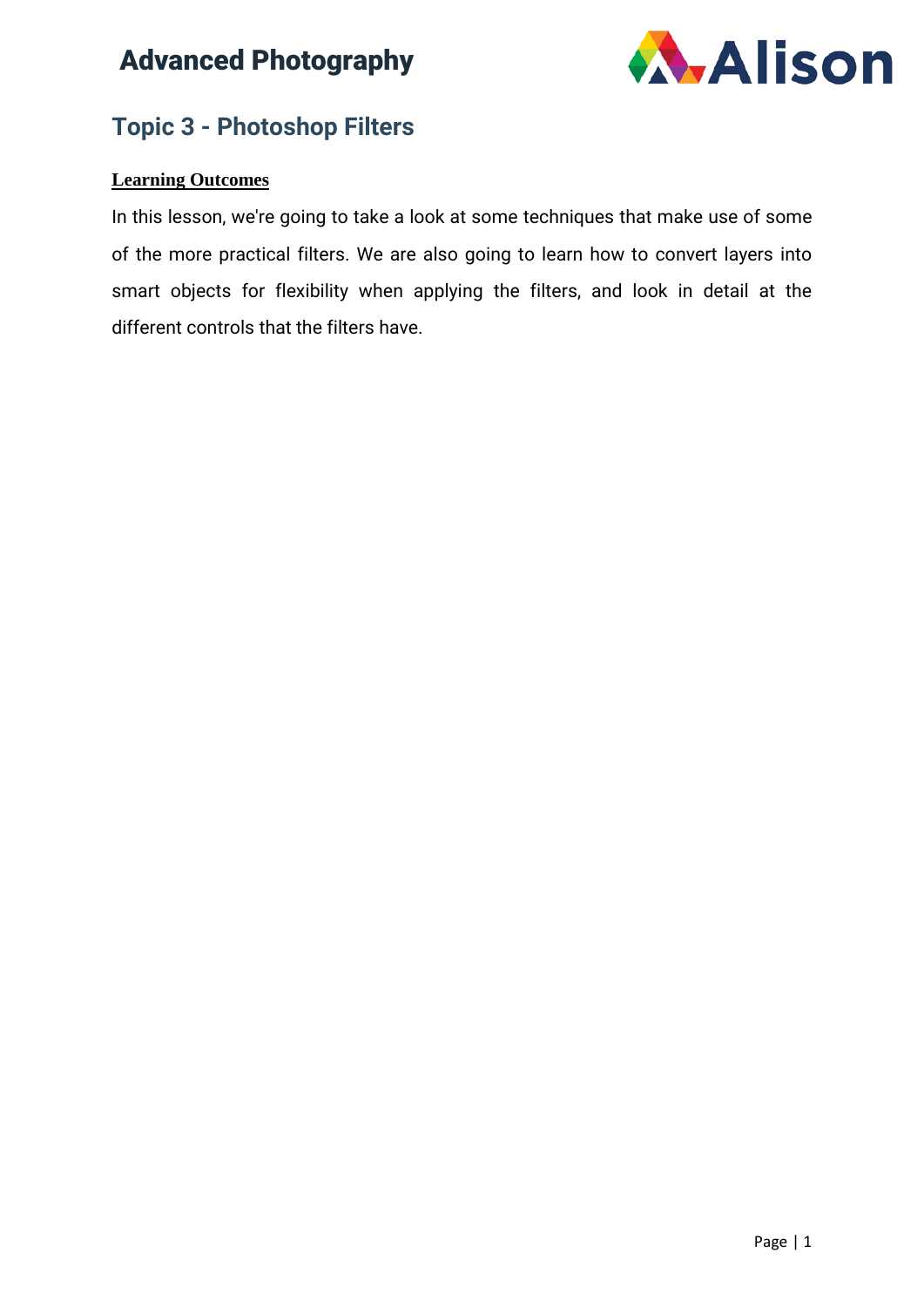

### **Topic 3 - Photoshop Filters**

#### **Learning Outcomes**

In this lesson, we're going to take a look at some techniques that make use of some of the more practical filters. We are also going to learn how to convert layers into smart objects for flexibility when applying the filters, and look in detail at the different controls that the filters have.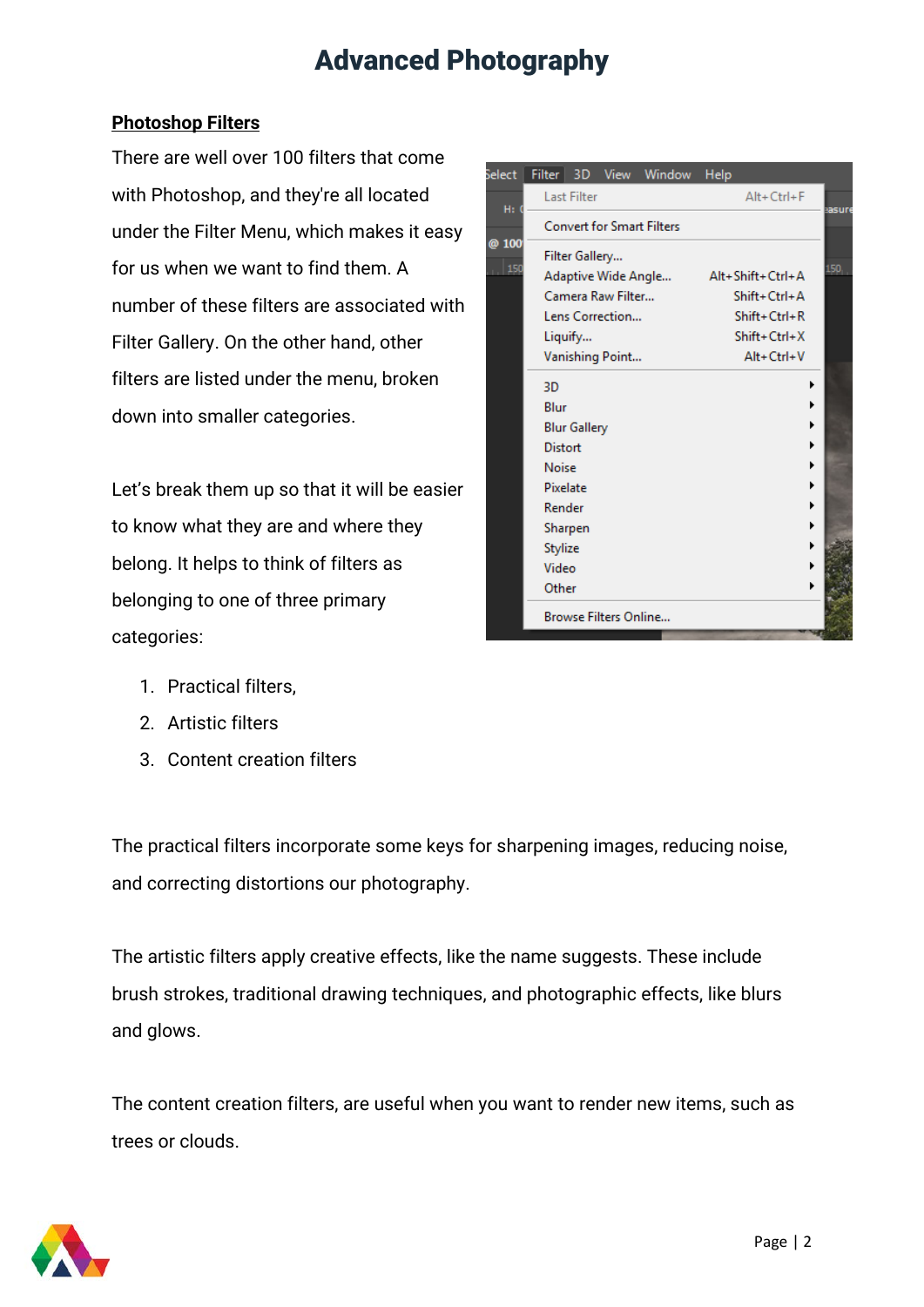#### **Photoshop Filters**

There are well over 100 filters that come with Photoshop, and they're all located under the Filter Menu, which makes it easy for us when we want to find them. A number of these filters are associated with Filter Gallery. On the other hand, other filters are listed under the menu, broken down into smaller categories.

Let's break them up so that it will be easier to know what they are and where they belong. It helps to think of filters as belonging to one of three primary categories:

| elect | Filter                           |                       | 3D View Window | Help             |        |
|-------|----------------------------------|-----------------------|----------------|------------------|--------|
| H:    | <b>Last Filter</b>               |                       |                | Alt+Ctrl+F       | sasure |
|       | <b>Convert for Smart Filters</b> |                       |                |                  |        |
| @ 100 | Filter Gallery                   |                       |                |                  |        |
| 150   | Adaptive Wide Angle              |                       |                | Alt+Shift+Ctrl+A | 150    |
|       | Camera Raw Filter                |                       |                | Shift+Ctrl+A     |        |
|       | Lens Correction                  |                       |                | Shift+Ctrl+R     |        |
|       | Liquify                          |                       |                | $Shift+Ctrl+X$   |        |
|       | Vanishing Point                  |                       |                | Alt+Ctrl+V       |        |
|       | 3D                               |                       |                | ٠                |        |
|       | Blur                             |                       |                |                  |        |
|       | <b>Blur Gallery</b>              |                       |                | ١                |        |
|       | <b>Distort</b>                   |                       |                | ▶                |        |
|       | <b>Noise</b>                     |                       |                | ▶                |        |
|       | Pixelate                         |                       |                | ٠                |        |
|       | Render                           |                       |                | ٠                |        |
|       | Sharpen                          |                       |                | ۱                |        |
|       | Stylize                          |                       |                |                  |        |
|       | Video                            |                       |                | Þ                |        |
|       | Other                            |                       |                | ١                |        |
|       |                                  | Browse Filters Online |                |                  |        |

- 1. Practical filters,
- 2. Artistic filters
- 3. Content creation filters

The practical filters incorporate some keys for sharpening images, reducing noise, and correcting distortions our photography.

The artistic filters apply creative effects, like the name suggests. These include brush strokes, traditional drawing techniques, and photographic effects, like blurs and glows.

The content creation filters, are useful when you want to render new items, such as trees or clouds.

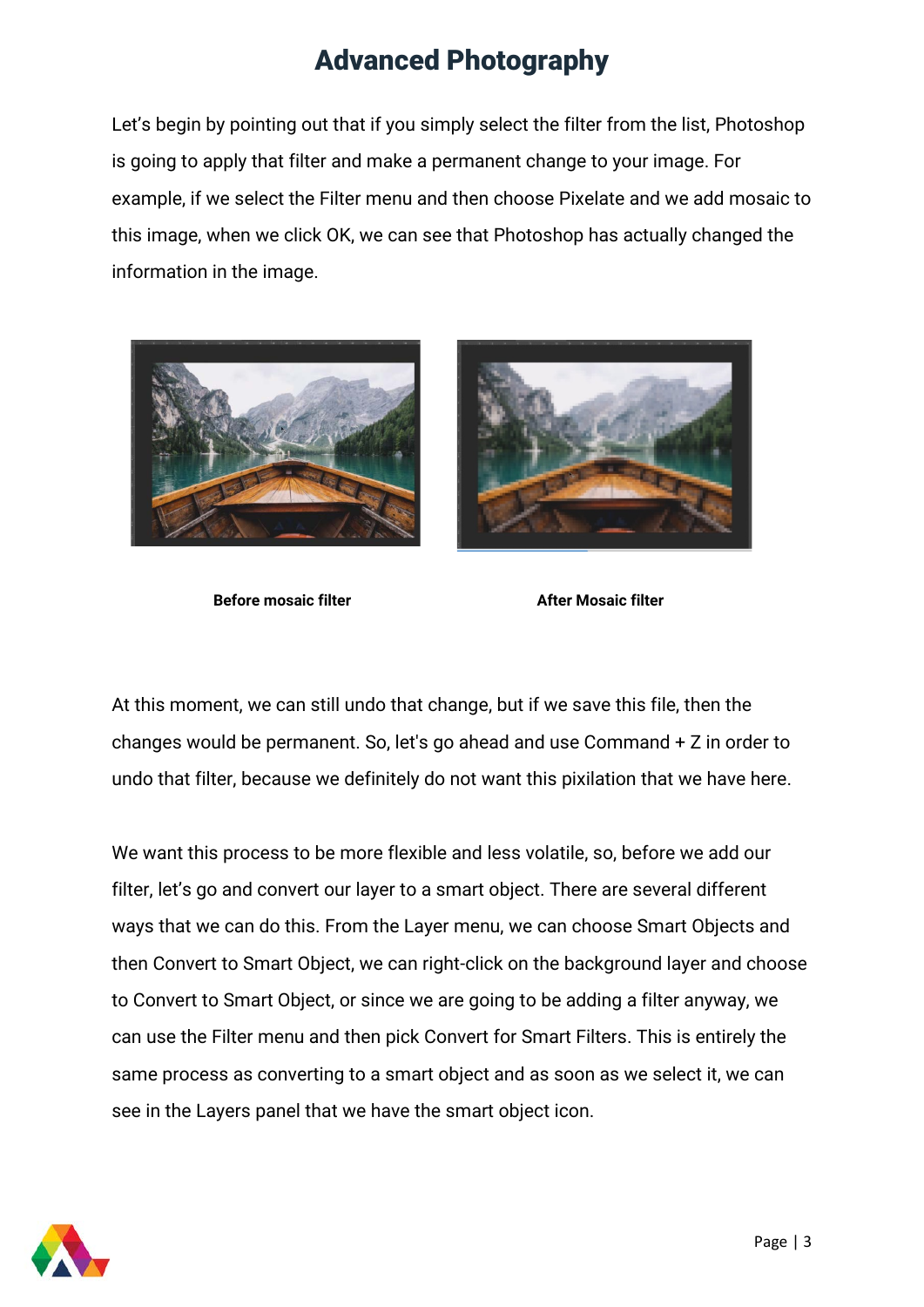Let's begin by pointing out that if you simply select the filter from the list, Photoshop is going to apply that filter and make a permanent change to your image. For example, if we select the Filter menu and then choose Pixelate and we add mosaic to this image, when we click OK, we can see that Photoshop has actually changed the information in the image.





**Before** mosaic filter **After** Mosaic filter

At this moment, we can still undo that change, but if we save this file, then the changes would be permanent. So, let's go ahead and use Command + Z in order to undo that filter, because we definitely do not want this pixilation that we have here.

We want this process to be more flexible and less volatile, so, before we add our filter, let's go and convert our layer to a smart object. There are several different ways that we can do this. From the Layer menu, we can choose Smart Objects and then Convert to Smart Object, we can right-click on the background layer and choose to Convert to Smart Object, or since we are going to be adding a filter anyway, we can use the Filter menu and then pick Convert for Smart Filters. This is entirely the same process as converting to a smart object and as soon as we select it, we can see in the Layers panel that we have the smart object icon.

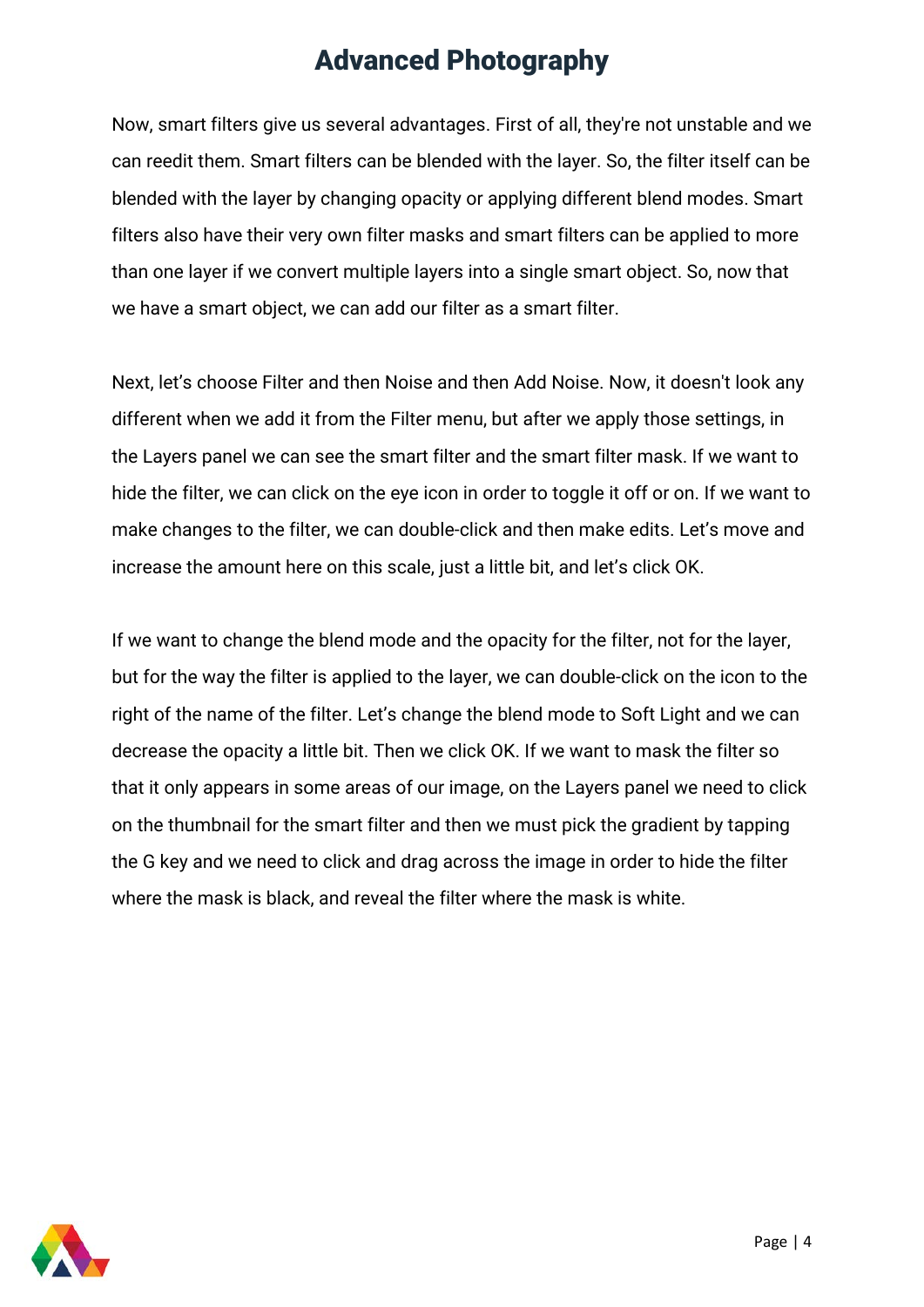Now, smart filters give us several advantages. First of all, they're not unstable and we can reedit them. Smart filters can be blended with the layer. So, the filter itself can be blended with the layer by changing opacity or applying different blend modes. Smart filters also have their very own filter masks and smart filters can be applied to more than one layer if we convert multiple layers into a single smart object. So, now that we have a smart object, we can add our filter as a smart filter.

Next, let's choose Filter and then Noise and then Add Noise. Now, it doesn't look any different when we add it from the Filter menu, but after we apply those settings, in the Layers panel we can see the smart filter and the smart filter mask. If we want to hide the filter, we can click on the eye icon in order to toggle it off or on. If we want to make changes to the filter, we can double-click and then make edits. Let's move and increase the amount here on this scale, just a little bit, and let's click OK.

If we want to change the blend mode and the opacity for the filter, not for the layer, but for the way the filter is applied to the layer, we can double-click on the icon to the right of the name of the filter. Let's change the blend mode to Soft Light and we can decrease the opacity a little bit. Then we click OK. If we want to mask the filter so that it only appears in some areas of our image, on the Layers panel we need to click on the thumbnail for the smart filter and then we must pick the gradient by tapping the G key and we need to click and drag across the image in order to hide the filter where the mask is black, and reveal the filter where the mask is white.